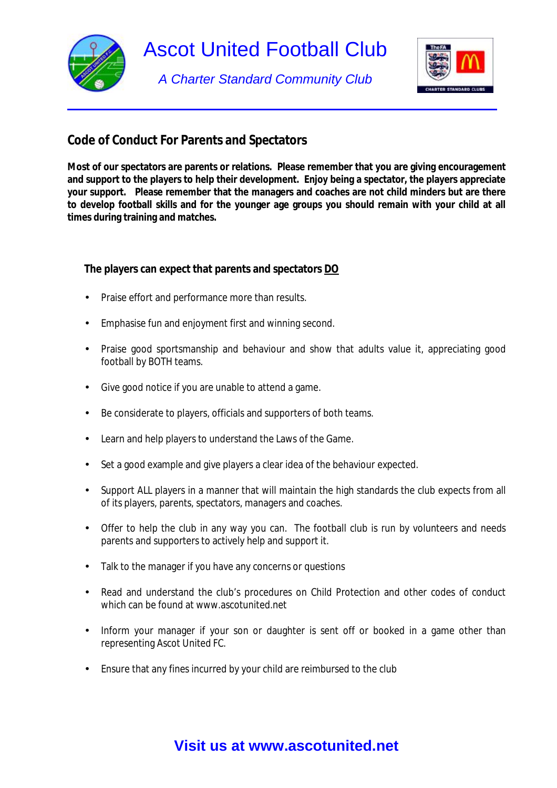

*A Charter Standard Community Club* 



## **Code of Conduct For Parents and Spectators**

**Most of our spectators are parents or relations. Please remember that you are giving encouragement and support to the players to help their development. Enjoy being a spectator, the players appreciate your support. Please remember that the managers and coaches are not child minders but are there**  to develop football skills and for the younger age groups you should remain with your child at all **times during training and matches.** 

**The players can expect that parents and spectators DO**

- Praise effort and performance more than results.
- Emphasise fun and enjoyment first and winning second.
- Praise good sportsmanship and behaviour and show that adults value it, appreciating good football by BOTH teams.
- Give good notice if you are unable to attend a game.
- Be considerate to players, officials and supporters of both teams.
- Learn and help players to understand the Laws of the Game.
- Set a good example and give players a clear idea of the behaviour expected.
- Support ALL players in a manner that will maintain the high standards the club expects from all of its players, parents, spectators, managers and coaches.
- Offer to help the club in any way you can. The football club is run by volunteers and needs parents and supporters to actively help and support it.
- Talk to the manager if you have any concerns or questions
- Read and understand the club's procedures on Child Protection and other codes of conduct which can be found at www.ascotunited.net
- Inform your manager if your son or daughter is sent off or booked in a game other than representing Ascot United FC.
- Ensure that any fines incurred by your child are reimbursed to the club